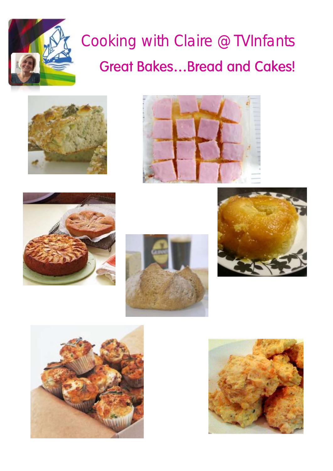

### Cooking with Claire @TVInfants**Great Bakes...Bread and Cakes!**













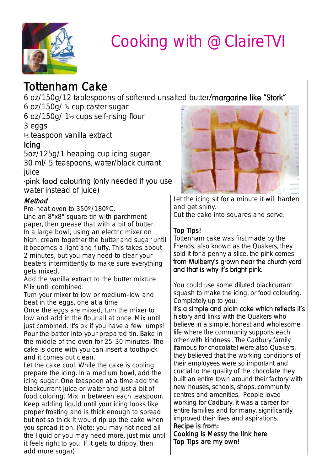

### Tottenham Cake

6 oz/150g/12 tablespoons of softened unsalted butter/margarine like "Stork"

6 oz/150g/ ¾ cup caster sugar

6 oz/150g/ 1½ cups self-rising flour 3 eggs

½ teaspoon vanilla extract

#### **Icing**

5oz/125g/1 heaping cup icing sugar 30 ml/ 5 teaspoons, water/black currant juice

pink food colouring (only needed if you use water instead of juice)

#### **Method**

Pre-heat oven to 350º/180ºC.

Line an 8"x8" square tin with parchment paper, then grease that with a bit of butter. In a large bowl, using an electric mixer on high, cream together the butter and sugar until it becomes a light and fluffy. This takes about 2 minutes, but you may need to clear your beaters intermittently to make sure everything gets mixed.

Add the vanilla extract to the butter mixture. Mix until combined.

Turn your mixer to low or medium-low and beat in the eggs, one at a time.

Once the eggs are mixed, turn the mixer to low and add in the flour all at once. Mix until just combined. It's ok if you have a few lumps! Pour the batter into your prepared tin. Bake in the middle of the oven for 25-30 minutes. The cake is done with you can insert a toothpick and it comes out clean.

Let the cake cool. While the cake is cooling prepare the icing. In a medium bowl, add the icing sugar. One teaspoon at a time add the blackcurrant juice or water and just a bit of food coloring. Mix in between each teaspoon. Keep adding liquid until your icing looks like proper frosting and is thick enough to spread but not so thick it would rip up the cake when you spread it on. (Note: you may not need all the liquid or you may need more, just mix until it feels right to you. If it gets to drippy, then add more sugar)



Let the icing sit for a minute it will harden and get shiny. Cut the cake into squares and serve.

#### Top Tips!

Tottenham cake was first made by the Friends, also known as the Quakers, they sold it for a penny a slice, the pink comes from Mulberry's grown near the church yard and that is why it's bright pink.

You could use some diluted blackcurrant squash to make the icing, or food colouring. Completely up to you.

It's a simple and plain cake which reflects it's history and links with the Quakers who believe in a simple, honest and wholesome life where the community supports each other with kindness.. The Cadbury family (famous for chocolate) were also Quakers, they believed that the working conditions of their employees were so important and crucial to the quality of the chocolate they built an entire town around their factory with new houses, schools, shops, community centres and amenities. People loved working for Cadbury, it was a career for entire families and for many, significantly improved their lives and aspirations.

#### Recipe is from: Cooking is Messy the link [here](http://www.cookingismessy.com/2015/01/22/tottenham-cake/)  Top Tips are my own!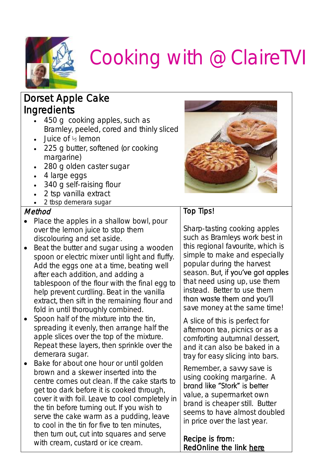

#### Dorset Apple Cake **Ingredients**

- 450 g cooking apples, such as Bramley, peeled, cored and thinly sliced
- Juice of ½ lemon
- 225 g butter, softened (or cooking margarine)
- 280 g olden caster sugar
- 4 large eggs
- 340 g self-raising flour
- 2 tsp vanilla extract
- 2 tbsp demerara sugar

#### Method

- Place the apples in a shallow bowl, pour over the lemon juice to stop them discolouring and set aside.
- Beat the butter and sugar using a wooden spoon or electric mixer until light and fluffy. Add the eggs one at a time, beating well after each addition, and adding a tablespoon of the flour with the final egg to help prevent curdling. Beat in the vanilla extract, then sift in the remaining flour and fold in until thoroughly combined.
- Spoon half of the mixture into the tin, spreading it evenly, then arrange half the apple slices over the top of the mixture. Repeat these layers, then sprinkle over the demerara sugar.
- Bake for about one hour or until golden brown and a skewer inserted into the centre comes out clean. If the cake starts to get too dark before it is cooked through, cover it with foil. Leave to cool completely in the tin before turning out. If you wish to serve the cake warm as a pudding, leave to cool in the tin for five to ten minutes, then turn out, cut into squares and serve with cream, custard or ice cream.



#### Top Tips!

Sharp-tasting cooking apples such as Bramleys work best in this regional favourite, which is simple to make and especially popular during the harvest season. But, if you've got apples that need using up, use them instead. Better to use them than waste them and you'll save money at the same time!

A slice of this is perfect for afternoon tea, picnics or as a comforting autumnal dessert, and it can also be baked in a tray for easy slicing into bars.

Remember, a savvy save is using cooking margarine. A brand like "Stork" is better value, a supermarket own brand is cheaper still. Butter seems to have almost doubled in price over the last year.

Recipe is from: RedOnline the link [here](http://www.redonline.co.uk/food/recipes/dorset-apple-cake)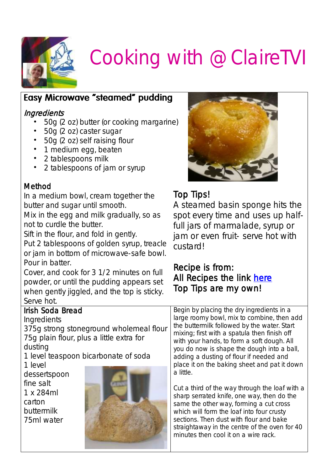

#### **Easy Microwave "steamed" pudding**

#### **Ingredients**

- 50g (2 oz) butter (or cooking margarine)
- 50g (2 oz) caster sugar
- 50g (2 oz) self raising flour
- 1 medium egg, beaten
- 2 tablespoons milk
- 2 tablespoons of jam or syrup

#### Method

In a medium bowl, cream together the butter and sugar until smooth.

Mix in the egg and milk gradually, so as not to curdle the butter.

Sift in the flour, and fold in gently.

Put 2 tablespoons of golden syrup, treacle or jam in bottom of microwave-safe bowl. Pour in batter.

Cover, and cook for 3 1/2 minutes on full powder, or until the pudding appears set when gently jiggled, and the top is sticky. Serve hot.

#### Irish Soda Bread

#### **Ingredients**

375g strong stoneground wholemeal flour 75g plain flour, plus a little extra for dusting

1 level teaspoon bicarbonate of soda

1 level dessertspoon fine salt 1 x 284ml carton buttermilk 75ml water





#### Top Tips!

A steamed basin sponge hits the spot every time and uses up halffull jars of marmalade, syrup or jam or even fruit- serve hot with custard!

#### Recipe is from: All Recipes the link [here](http://allrecipes.co.uk/recipe/165/microwave-sponge-pudding.aspx)  Top Tips are my own!

Begin by placing the dry ingredients in a large roomy bowl, mix to combine, then add the buttermilk followed by the water. Start mixing; first with a spatula then finish off with your hands, to form a soft dough. All you do now is shape the dough into a ball, adding a dusting of flour if needed and place it on the baking sheet and pat it down a little.

Cut a third of the way through the loaf with a sharp serrated knife, one way, then do the same the other way, forming a cut cross which will form the loaf into four crusty sections. Then dust with flour and bake straightaway in the centre of the oven for 40 minutes then cool it on a wire rack.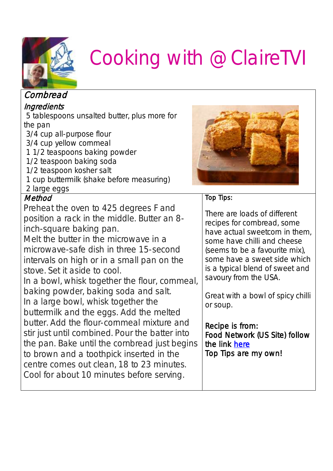

| Cornbread                                            |                                                                |
|------------------------------------------------------|----------------------------------------------------------------|
| Ingredients                                          |                                                                |
| 5 tablespoons unsalted butter, plus more for         |                                                                |
| the pan                                              |                                                                |
| 3/4 cup all-purpose flour                            |                                                                |
| 3/4 cup yellow cornmeal                              |                                                                |
| 11/2 teaspoons baking powder                         |                                                                |
| 1/2 teaspoon baking soda<br>1/2 teaspoon kosher salt |                                                                |
| 1 cup buttermilk (shake before measuring)            |                                                                |
| 2 large eggs                                         |                                                                |
| Method                                               | Top Tips:                                                      |
| Preheat the oven to 425 degrees F and                |                                                                |
| position a rack in the middle. Butter an 8-          | There are loads of different                                   |
| inch-square baking pan.                              | recipes for cornbread, some                                    |
| Melt the butter in the microwave in a                | have actual sweetcorn in them,                                 |
| microwave-safe dish in three 15-second               | some have chilli and cheese                                    |
|                                                      | (seems to be a favourite mix),<br>some have a sweet side which |
| intervals on high or in a small pan on the           | is a typical blend of sweet and                                |
| stove. Set it aside to cool.                         | savoury from the USA.                                          |
| In a bowl, whisk together the flour, cornmeal,       |                                                                |
| baking powder, baking soda and salt.                 | Great with a bowl of spicy chilli                              |
| In a large bowl, whisk together the                  | or soup.                                                       |
| buttermilk and the eggs. Add the melted              |                                                                |
| butter. Add the flour-cornmeal mixture and           | Recipe is from:                                                |
| stir just until combined. Pour the batter into       | Food Network (US Site) follow                                  |
| the pan. Bake until the cornbread just begins        | the link here                                                  |
| to brown and a toothpick inserted in the             | Top Tips are my own!                                           |
| centre comes out clean, 18 to 23 minutes.            |                                                                |
| Cool for about 10 minutes before serving.            |                                                                |
|                                                      |                                                                |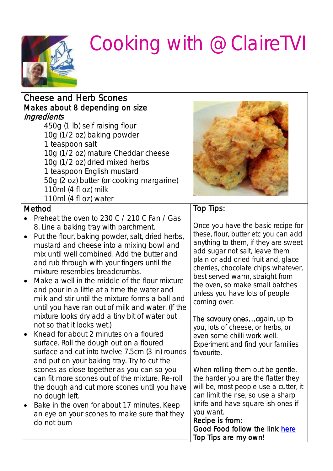

| <b>Cheese and Herb Scones</b><br>Makes about 8 depending on size<br>Ingredients<br>450g (1 lb) self raising flour<br>10g (1/2 oz) baking powder<br>1 teaspoon salt<br>10g (1/2 oz) mature Cheddar cheese<br>10g (1/2 oz) dried mixed herbs<br>1 teaspoon English mustard<br>50g (2 oz) butter (or cooking margarine)<br>110ml (4 fl oz) milk<br>110ml (4 fl oz) water                                                                                                                                                                         |                                                                                                                                                                                                                                                                                                                                                           |
|-----------------------------------------------------------------------------------------------------------------------------------------------------------------------------------------------------------------------------------------------------------------------------------------------------------------------------------------------------------------------------------------------------------------------------------------------------------------------------------------------------------------------------------------------|-----------------------------------------------------------------------------------------------------------------------------------------------------------------------------------------------------------------------------------------------------------------------------------------------------------------------------------------------------------|
| Method                                                                                                                                                                                                                                                                                                                                                                                                                                                                                                                                        | Top Tips:                                                                                                                                                                                                                                                                                                                                                 |
| Preheat the oven to 230 C / 210 C Fan / Gas<br>8. Line a baking tray with parchment.<br>Put the flour, baking powder, salt, dried herbs,<br>$\bullet$<br>mustard and cheese into a mixing bowl and<br>mix until well combined. Add the butter and<br>and rub through with your fingers until the<br>mixture resembles breadcrumbs.<br>Make a well in the middle of the flour mixture<br>and pour in a little at a time the water and<br>milk and stir until the mixture forms a ball and<br>until you have ran out of milk and water. (If the | Once you have the basic recipe for<br>these, flour, butter etc you can add<br>anything to them, if they are sweet<br>add sugar not salt, leave them<br>plain or add dried fruit and, glace<br>cherries, chocolate chips whatever,<br>best served warm, straight from<br>the oven, so make small batches<br>unless you have lots of people<br>coming over. |
| mixture looks dry add a tiny bit of water but<br>not so that it looks wet.)                                                                                                                                                                                                                                                                                                                                                                                                                                                                   | The savoury onesagain, up to<br>you, lots of cheese, or herbs, or                                                                                                                                                                                                                                                                                         |
| Knead for about 2 minutes on a floured<br>surface. Roll the dough out on a floured<br>surface and cut into twelve 7.5cm (3 in) rounds<br>and put on your baking tray. Try to cut the                                                                                                                                                                                                                                                                                                                                                          | even some chilli work well.<br>Experiment and find your families<br>favourite.                                                                                                                                                                                                                                                                            |
| scones as close together as you can so you<br>can fit more scones out of the mixture. Re-roll<br>the dough and cut more scones until you have<br>no dough left.<br>Bake in the oven for about 17 minutes. Keep<br>an eye on your scones to make sure that they<br>do not burn                                                                                                                                                                                                                                                                 | When rolling them out be gentle,<br>the harder you are the flatter they<br>will be, most people use a cutter, it<br>can limit the rise, so use a sharp<br>knife and have square ish ones if<br>you want.<br>Recipe is from:<br>Good Food follow the link here<br>Top Tips are my own!                                                                     |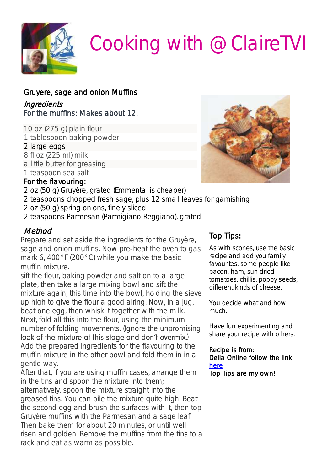

| Gruyere, sage and onion Muffins                                                                                                                                                                                                                                                                                                                                                                                                                                                                 |                                                                                                                                                                                      |
|-------------------------------------------------------------------------------------------------------------------------------------------------------------------------------------------------------------------------------------------------------------------------------------------------------------------------------------------------------------------------------------------------------------------------------------------------------------------------------------------------|--------------------------------------------------------------------------------------------------------------------------------------------------------------------------------------|
| Ingredients<br>For the muffins: Makes about 12.                                                                                                                                                                                                                                                                                                                                                                                                                                                 |                                                                                                                                                                                      |
| 10 oz (275 g) plain flour<br>1 tablespoon baking powder<br>2 large eggs<br>8 fl oz (225 ml) milk<br>a little butter for greasing<br>1 teaspoon sea salt<br>For the flavouring:<br>2 oz (50 g) Gruyère, grated (Emmental is cheaper)<br>2 teaspoons chopped fresh sage, plus 12 small leaves for garnishing<br>2 oz (50 g) spring onions, finely sliced<br>2 teaspoons Parmesan (Parmigiano Reggiano), grated                                                                                    |                                                                                                                                                                                      |
| Method<br>Prepare and set aside the ingredients for the Gruyère,                                                                                                                                                                                                                                                                                                                                                                                                                                | Top Tips:                                                                                                                                                                            |
| sage and onion muffins. Now pre-heat the oven to gas<br>mark 6, 400°F (200°C) while you make the basic<br>muffin mixture.<br>sift the flour, baking powder and salt on to a large<br>plate, then take a large mixing bowl and sift the<br>mixture again, this time into the bowl, holding the sieve                                                                                                                                                                                             | As with scones, use the basic<br>recipe and add you family<br>favourites, some people like<br>bacon, ham, sun dried<br>tomatoes, chillis, poppy seeds,<br>different kinds of cheese. |
| up high to give the flour a good airing. Now, in a jug,<br>beat one egg, then whisk it together with the milk.                                                                                                                                                                                                                                                                                                                                                                                  | You decide what and how<br>much.                                                                                                                                                     |
| Next, fold all this into the flour, using the minimum<br>humber of folding movements. (Ignore the unpromising<br>look of the mixture at this stage and don't overmix.)                                                                                                                                                                                                                                                                                                                          | Have fun experimenting and<br>share your recipe with others.                                                                                                                         |
| Add the prepared ingredients for the flavouring to the<br>muffin mixture in the other bowl and fold them in in a<br>gentle way.                                                                                                                                                                                                                                                                                                                                                                 | Recipe is from:<br>Delia Online follow the link<br>here                                                                                                                              |
| After that, if you are using muffin cases, arrange them<br>in the tins and spoon the mixture into them;<br>alternatively, spoon the mixture straight into the<br>greased tins. You can pile the mixture quite high. Beat<br>the second egg and brush the surfaces with it, then top<br>Gruyère muffins with the Parmesan and a sage leaf.<br>Then bake them for about 20 minutes, or until well<br>risen and golden. Remove the muffins from the tins to a<br>rack and eat as warm as possible. | Top Tips are my own!                                                                                                                                                                 |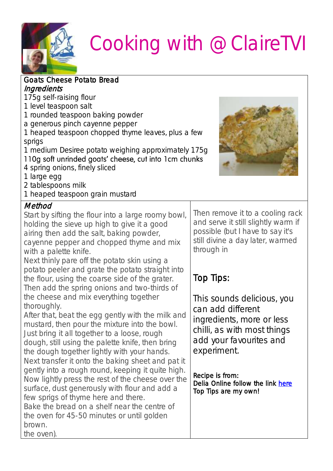

| <b>Goats Cheese Potato Bread</b>                      |                                                    |  |  |  |
|-------------------------------------------------------|----------------------------------------------------|--|--|--|
| Ingredients                                           |                                                    |  |  |  |
| 175g self-raising flour                               |                                                    |  |  |  |
| 1 level teaspoon salt                                 |                                                    |  |  |  |
| 1 rounded teaspoon baking powder                      |                                                    |  |  |  |
|                                                       | a generous pinch cayenne pepper                    |  |  |  |
|                                                       | 1 heaped teaspoon chopped thyme leaves, plus a few |  |  |  |
| sprigs                                                |                                                    |  |  |  |
| 1 medium Desiree potato weighing approximately 175g   |                                                    |  |  |  |
| 110g soft unrinded goats' cheese, cut into 1cm chunks |                                                    |  |  |  |
| 4 spring onions, finely sliced                        |                                                    |  |  |  |
| 1 large egg                                           |                                                    |  |  |  |
| 2 tablespoons milk                                    |                                                    |  |  |  |
| 1 heaped teaspoon grain mustard                       |                                                    |  |  |  |
| Method                                                |                                                    |  |  |  |
| Start by sifting the flour into a large roomy bowl,   | Then remove it to a cooling rack                   |  |  |  |
| holding the sieve up high to give it a good           | and serve it still slightly warm if                |  |  |  |
| airing then add the salt, baking powder,              | possible (but I have to say it's                   |  |  |  |
| cayenne pepper and chopped thyme and mix              | still divine a day later, warmed                   |  |  |  |
| with a palette knife.                                 | through in                                         |  |  |  |
| Next thinly pare off the potato skin using a          |                                                    |  |  |  |
| potato peeler and grate the potato straight into      |                                                    |  |  |  |
| the flour, using the coarse side of the grater.       | Top Tips:                                          |  |  |  |
| Then add the spring onions and two-thirds of          |                                                    |  |  |  |
| the cheese and mix everything together                | This sounds delicious, you                         |  |  |  |
| thoroughly.                                           | can add different                                  |  |  |  |
| After that, beat the egg gently with the milk and     | ingredients, more or less                          |  |  |  |
| mustard, then pour the mixture into the bowl.         | chilli, as with most things                        |  |  |  |
| Just bring it all together to a loose, rough          | add your favourites and                            |  |  |  |
| dough, still using the palette knife, then bring      |                                                    |  |  |  |
| the dough together lightly with your hands.           | experiment.                                        |  |  |  |
| Next transfer it onto the baking sheet and pat it     |                                                    |  |  |  |
| gently into a rough round, keeping it quite high.     | Recipe is from:                                    |  |  |  |
| Now lightly press the rest of the cheese over the     | Delia Online follow the link here                  |  |  |  |
| surface, dust generously with flour and add a         | Top Tips are my own!                               |  |  |  |
| few sprigs of thyme here and there.                   |                                                    |  |  |  |
| Bake the bread on a shelf near the centre of          |                                                    |  |  |  |
| the oven for 45-50 minutes or until golden            |                                                    |  |  |  |
| brown.                                                |                                                    |  |  |  |
| the oven).                                            |                                                    |  |  |  |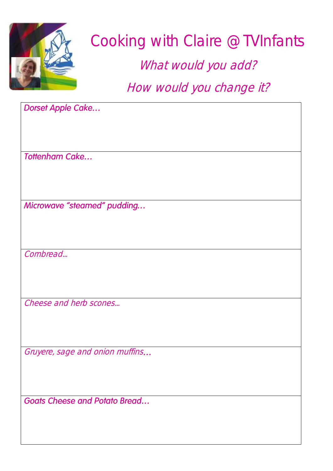

### Cooking with Claire @TVInfants

What would you add?

How would you change it?

Dorset Apple Cake... Tottenham Cake... Microwave "steamed" pudding... Cornbread... Cheese and herb scones... Gruyere, sage and onion muffins... **Goats Cheese and Potato Bread...**